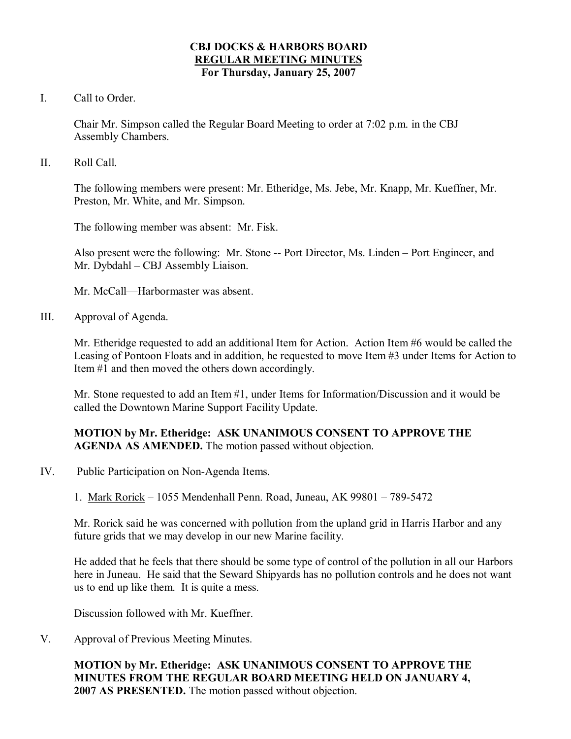#### **CBJ DOCKS & HARBORS BOARD REGULAR MEETING MINUTES For Thursday, January 25, 2007**

I. Call to Order.

Chair Mr. Simpson called the Regular Board Meeting to order at 7:02 p.m. in the CBJ Assembly Chambers.

II. Roll Call.

The following members were present: Mr. Etheridge, Ms. Jebe, Mr. Knapp, Mr. Kueffner, Mr. Preston, Mr. White, and Mr. Simpson.

The following member was absent: Mr. Fisk.

Also present were the following: Mr. Stone -- Port Director, Ms. Linden – Port Engineer, and Mr. Dybdahl – CBJ Assembly Liaison.

Mr. McCall—Harbormaster was absent.

III. Approval of Agenda.

Mr. Etheridge requested to add an additional Item for Action. Action Item #6 would be called the Leasing of Pontoon Floats and in addition, he requested to move Item #3 under Items for Action to Item #1 and then moved the others down accordingly.

Mr. Stone requested to add an Item #1, under Items for Information/Discussion and it would be called the Downtown Marine Support Facility Update.

## **MOTION by Mr. Etheridge: ASK UNANIMOUS CONSENT TO APPROVE THE AGENDA AS AMENDED.** The motion passed without objection.

- IV. Public Participation on Non-Agenda Items.
	- 1. Mark Rorick 1055 Mendenhall Penn. Road, Juneau, AK 99801 7895472

Mr. Rorick said he was concerned with pollution from the upland grid in Harris Harbor and any future grids that we may develop in our new Marine facility.

He added that he feels that there should be some type of control of the pollution in all our Harbors here in Juneau. He said that the Seward Shipyards has no pollution controls and he does not want us to end up like them. It is quite a mess.

Discussion followed with Mr. Kueffner.

V. Approval of Previous Meeting Minutes.

**MOTION by Mr. Etheridge: ASK UNANIMOUS CONSENT TO APPROVE THE MINUTES FROM THE REGULAR BOARD MEETING HELD ON JANUARY 4, 2007 AS PRESENTED.** The motion passed without objection.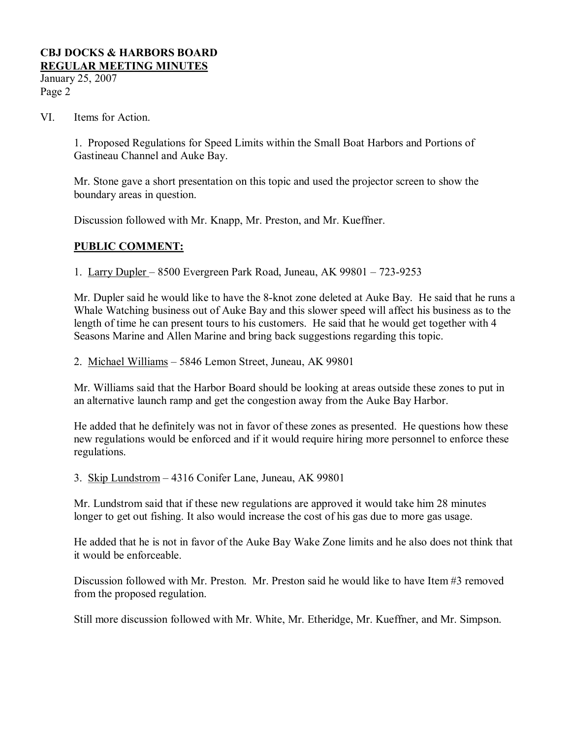January 25, 2007 Page 2

#### VI. Items for Action.

1. Proposed Regulations for Speed Limits within the Small Boat Harbors and Portions of Gastineau Channel and Auke Bay.

Mr. Stone gave a short presentation on this topic and used the projector screen to show the boundary areas in question.

Discussion followed with Mr. Knapp, Mr. Preston, and Mr. Kueffner.

## **PUBLIC COMMENT:**

1. Larry Dupler – 8500 Evergreen Park Road, Juneau, AK 99801 – 723-9253

Mr. Dupler said he would like to have the 8-knot zone deleted at Auke Bay. He said that he runs a Whale Watching business out of Auke Bay and this slower speed will affect his business as to the length of time he can present tours to his customers. He said that he would get together with 4 Seasons Marine and Allen Marine and bring back suggestions regarding this topic.

2. Michael Williams – 5846 Lemon Street, Juneau, AK 99801

Mr. Williams said that the Harbor Board should be looking at areas outside these zones to put in an alternative launch ramp and get the congestion away from the Auke Bay Harbor.

He added that he definitely was not in favor of these zones as presented. He questions how these new regulations would be enforced and if it would require hiring more personnel to enforce these regulations.

3. Skip Lundstrom – 4316 Conifer Lane, Juneau, AK 99801

Mr. Lundstrom said that if these new regulations are approved it would take him 28 minutes longer to get out fishing. It also would increase the cost of his gas due to more gas usage.

He added that he is not in favor of the Auke Bay Wake Zone limits and he also does not think that it would be enforceable.

Discussion followed with Mr. Preston. Mr. Preston said he would like to have Item #3 removed from the proposed regulation.

Still more discussion followed with Mr. White, Mr. Etheridge, Mr. Kueffner, and Mr. Simpson.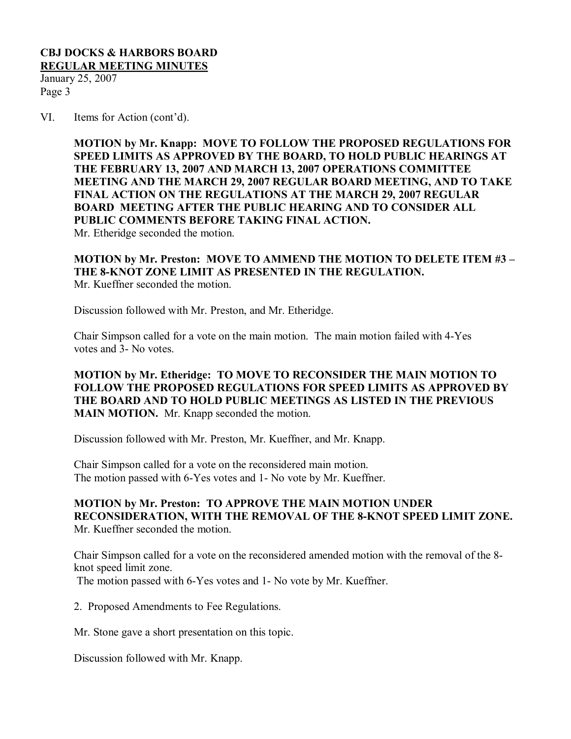January 25, 2007 Page 3

VI. Items for Action (cont'd).

**MOTION by Mr. Knapp: MOVE TO FOLLOW THE PROPOSED REGULATIONS FOR SPEED LIMITS AS APPROVED BY THE BOARD, TO HOLD PUBLIC HEARINGS AT THE FEBRUARY 13, 2007 AND MARCH 13, 2007 OPERATIONS COMMITTEE MEETING AND THE MARCH 29, 2007 REGULAR BOARD MEETING, AND TO TAKE FINAL ACTION ON THE REGULATIONS AT THE MARCH 29, 2007 REGULAR BOARD MEETING AFTER THE PUBLIC HEARING AND TO CONSIDER ALL PUBLIC COMMENTS BEFORE TAKING FINAL ACTION.** Mr. Etheridge seconded the motion.

**MOTION by Mr. Preston: MOVE TO AMMEND THE MOTION TO DELETE ITEM #3 – THE 8KNOT ZONE LIMIT AS PRESENTED IN THE REGULATION.** Mr. Kueffner seconded the motion.

Discussion followed with Mr. Preston, and Mr. Etheridge.

Chair Simpson called for a vote on the main motion. The main motion failed with 4Yes votes and 3- No votes.

**MOTION by Mr. Etheridge: TO MOVE TO RECONSIDER THE MAIN MOTION TO FOLLOW THE PROPOSED REGULATIONS FOR SPEED LIMITS AS APPROVED BY THE BOARD AND TO HOLD PUBLIC MEETINGS AS LISTED IN THE PREVIOUS MAIN MOTION.** Mr. Knapp seconded the motion.

Discussion followed with Mr. Preston, Mr. Kueffner, and Mr. Knapp.

Chair Simpson called for a vote on the reconsidered main motion. The motion passed with 6-Yes votes and 1- No vote by Mr. Kueffner.

**MOTION by Mr. Preston: TO APPROVE THE MAIN MOTION UNDER RECONSIDERATION, WITH THE REMOVAL OF THE 8KNOT SPEED LIMIT ZONE.** Mr. Kueffner seconded the motion.

Chair Simpson called for a vote on the reconsidered amended motion with the removal of the 8 knot speed limit zone.

The motion passed with 6-Yes votes and 1- No vote by Mr. Kueffner.

2. Proposed Amendments to Fee Regulations.

Mr. Stone gave a short presentation on this topic.

Discussion followed with Mr. Knapp.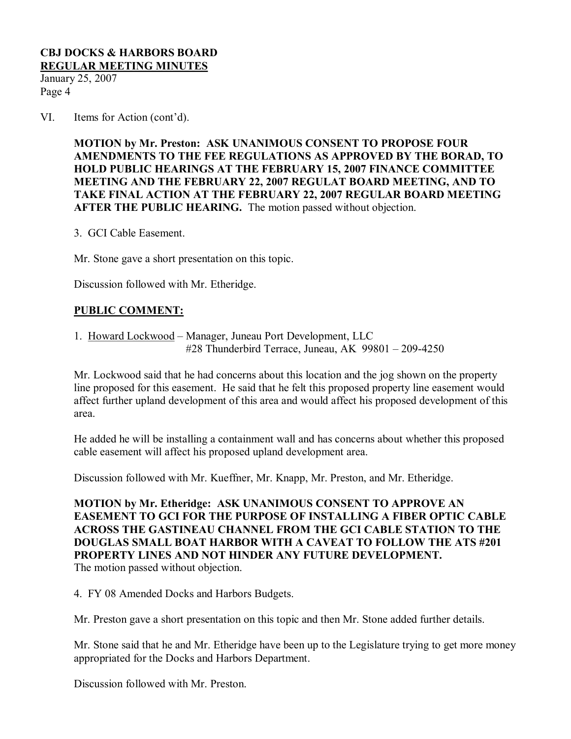January 25, 2007 Page 4

VI. Items for Action (cont'd).

**MOTION by Mr. Preston: ASK UNANIMOUS CONSENT TO PROPOSE FOUR AMENDMENTS TO THE FEE REGULATIONS AS APPROVED BY THE BORAD, TO HOLD PUBLIC HEARINGS AT THE FEBRUARY 15, 2007 FINANCE COMMITTEE MEETING AND THE FEBRUARY 22, 2007 REGULAT BOARD MEETING, AND TO TAKE FINAL ACTION AT THE FEBRUARY 22, 2007 REGULAR BOARD MEETING AFTER THE PUBLIC HEARING.** The motion passed without objection.

3. GCI Cable Easement.

Mr. Stone gave a short presentation on this topic.

Discussion followed with Mr. Etheridge.

## **PUBLIC COMMENT:**

1. Howard Lockwood – Manager, Juneau Port Development, LLC #28 Thunderbird Terrace, Juneau, AK  $99801 - 209 - 4250$ 

Mr. Lockwood said that he had concerns about this location and the jog shown on the property line proposed for this easement. He said that he felt this proposed property line easement would affect further upland development of this area and would affect his proposed development of this area.

He added he will be installing a containment wall and has concerns about whether this proposed cable easement will affect his proposed upland development area.

Discussion followed with Mr. Kueffner, Mr. Knapp, Mr. Preston, and Mr. Etheridge.

**MOTION by Mr. Etheridge: ASK UNANIMOUS CONSENT TO APPROVE AN EASEMENT TO GCI FOR THE PURPOSE OF INSTALLING A FIBER OPTIC CABLE ACROSS THE GASTINEAU CHANNEL FROM THE GCI CABLE STATION TO THE DOUGLAS SMALL BOAT HARBOR WITH A CAVEAT TO FOLLOW THE ATS #201 PROPERTY LINES AND NOT HINDER ANY FUTURE DEVELOPMENT.**

The motion passed without objection.

4. FY 08 Amended Docks and Harbors Budgets.

Mr. Preston gave a short presentation on this topic and then Mr. Stone added further details.

Mr. Stone said that he and Mr. Etheridge have been up to the Legislature trying to get more money appropriated for the Docks and Harbors Department.

Discussion followed with Mr. Preston.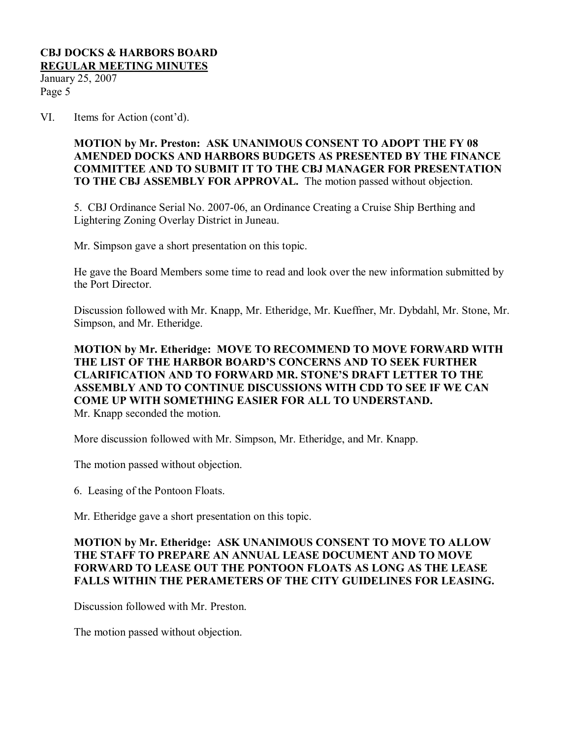January 25, 2007 Page 5

VI. Items for Action (cont'd).

**MOTION by Mr. Preston: ASK UNANIMOUS CONSENT TO ADOPT THE FY 08 AMENDED DOCKS AND HARBORS BUDGETS AS PRESENTED BY THE FINANCE COMMITTEE AND TO SUBMIT IT TO THE CBJ MANAGER FOR PRESENTATION TO THE CBJ ASSEMBLY FOR APPROVAL.** The motion passed without objection.

5. CBJ Ordinance Serial No. 2007-06, an Ordinance Creating a Cruise Ship Berthing and Lightering Zoning Overlay District in Juneau.

Mr. Simpson gave a short presentation on this topic.

He gave the Board Members some time to read and look over the new information submitted by the Port Director.

Discussion followed with Mr. Knapp, Mr. Etheridge, Mr. Kueffner, Mr. Dybdahl, Mr. Stone, Mr. Simpson, and Mr. Etheridge.

### **MOTION by Mr. Etheridge: MOVE TO RECOMMEND TO MOVE FORWARD WITH THE LIST OF THE HARBOR BOARD'S CONCERNS AND TO SEEK FURTHER CLARIFICATION AND TO FORWARD MR. STONE'S DRAFT LETTER TO THE ASSEMBLY AND TO CONTINUE DISCUSSIONS WITH CDD TO SEE IF WE CAN COME UP WITH SOMETHING EASIER FOR ALL TO UNDERSTAND.** Mr. Knapp seconded the motion.

More discussion followed with Mr. Simpson, Mr. Etheridge, and Mr. Knapp.

The motion passed without objection.

6. Leasing of the Pontoon Floats.

Mr. Etheridge gave a short presentation on this topic.

## **MOTION by Mr. Etheridge: ASK UNANIMOUS CONSENT TO MOVE TO ALLOW THE STAFF TO PREPARE AN ANNUAL LEASE DOCUMENT AND TO MOVE FORWARD TO LEASE OUT THE PONTOON FLOATS AS LONG AS THE LEASE FALLS WITHIN THE PERAMETERS OF THE CITY GUIDELINES FOR LEASING.**

Discussion followed with Mr. Preston.

The motion passed without objection.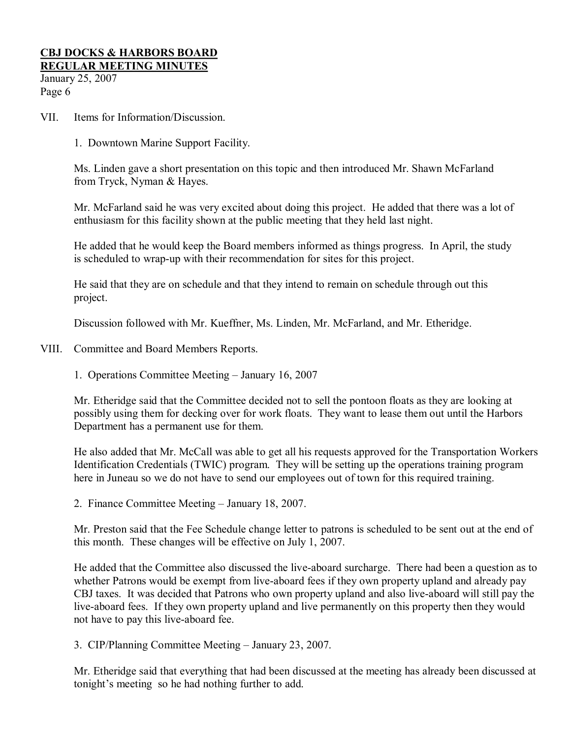January 25, 2007 Page 6

- VII. Items for Information/Discussion.
	- 1. Downtown Marine Support Facility.

Ms. Linden gave a short presentation on this topic and then introduced Mr. Shawn McFarland from Tryck, Nyman & Hayes.

Mr. McFarland said he was very excited about doing this project. He added that there was a lot of enthusiasm for this facility shown at the public meeting that they held last night.

He added that he would keep the Board members informed as things progress. In April, the study is scheduled to wrap-up with their recommendation for sites for this project.

He said that they are on schedule and that they intend to remain on schedule through out this project.

Discussion followed with Mr. Kueffner, Ms. Linden, Mr. McFarland, and Mr. Etheridge.

- VIII. Committee and Board Members Reports.
	- 1. Operations Committee Meeting January 16, 2007

Mr. Etheridge said that the Committee decided not to sell the pontoon floats as they are looking at possibly using them for decking over for work floats. They want to lease them out until the Harbors Department has a permanent use for them.

He also added that Mr. McCall was able to get all his requests approved for the Transportation Workers Identification Credentials (TWIC) program. They will be setting up the operations training program here in Juneau so we do not have to send our employees out of town for this required training.

2. Finance Committee Meeting – January 18, 2007.

Mr. Preston said that the Fee Schedule change letter to patrons is scheduled to be sent out at the end of this month. These changes will be effective on July 1, 2007.

He added that the Committee also discussed the live-aboard surcharge. There had been a question as to whether Patrons would be exempt from live-aboard fees if they own property upland and already pay CBJ taxes. It was decided that Patrons who own property upland and also live-aboard will still pay the live-aboard fees. If they own property upland and live permanently on this property then they would not have to pay this live-aboard fee.

3. CIP/Planning Committee Meeting – January 23, 2007.

Mr. Etheridge said that everything that had been discussed at the meeting has already been discussed at tonight's meeting so he had nothing further to add.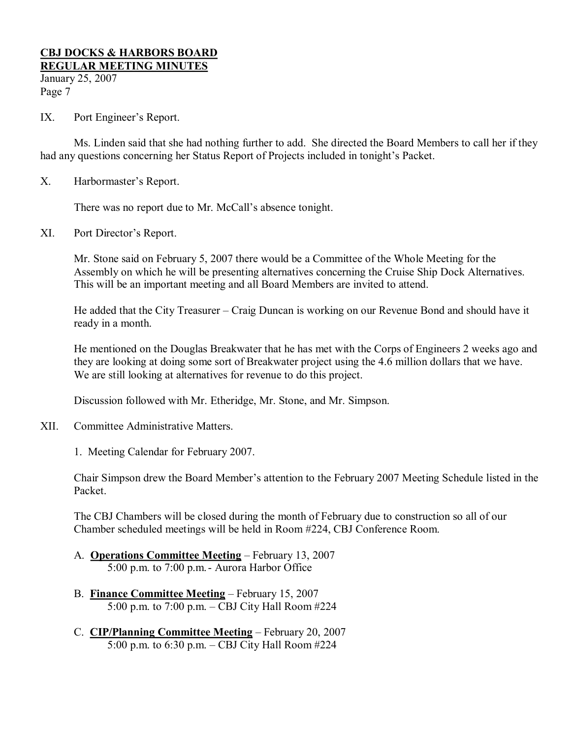January 25, 2007 Page 7

IX. Port Engineer's Report.

Ms. Linden said that she had nothing further to add. She directed the Board Members to call her if they had any questions concerning her Status Report of Projects included in tonight's Packet.

X. Harbormaster's Report.

There was no report due to Mr. McCall's absence tonight.

XI. Port Director's Report.

Mr. Stone said on February 5, 2007 there would be a Committee of the Whole Meeting for the Assembly on which he will be presenting alternatives concerning the Cruise Ship Dock Alternatives. This will be an important meeting and all Board Members are invited to attend.

He added that the City Treasurer – Craig Duncan is working on our Revenue Bond and should have it ready in a month.

He mentioned on the Douglas Breakwater that he has met with the Corps of Engineers 2 weeks ago and they are looking at doing some sort of Breakwater project using the 4.6 million dollars that we have. We are still looking at alternatives for revenue to do this project.

Discussion followed with Mr. Etheridge, Mr. Stone, and Mr. Simpson.

XII. Committee Administrative Matters.

1. Meeting Calendar for February 2007.

Chair Simpson drew the Board Member's attention to the February 2007 Meeting Schedule listed in the Packet.

The CBJ Chambers will be closed during the month of February due to construction so all of our Chamber scheduled meetings will be held in Room #224, CBJ Conference Room.

- A. **Operations Committee Meeting** February 13, 2007 5:00 p.m. to 7:00 p.m. - Aurora Harbor Office
- B. **Finance Committee Meeting** February 15, 2007 5:00 p.m. to 7:00 p.m. – CBJ City Hall Room #224
- C. **CIP/Planning Committee Meeting** February 20, 2007 5:00 p.m. to 6:30 p.m. – CBJ City Hall Room #224